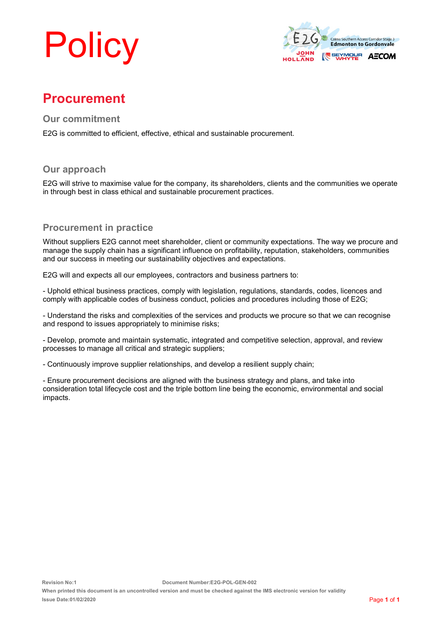# **Policy**



## **Procurement**

**Our commitment**

E2G is committed to efficient, effective, ethical and sustainable procurement.

#### **Our approach**

E2G will strive to maximise value for the company, its shareholders, clients and the communities we operate in through best in class ethical and sustainable procurement practices.

### **Procurement in practice**

Without suppliers E2G cannot meet shareholder, client or community expectations. The way we procure and manage the supply chain has a significant influence on profitability, reputation, stakeholders, communities and our success in meeting our sustainability objectives and expectations.

E2G will and expects all our employees, contractors and business partners to:

- Uphold ethical business practices, comply with legislation, regulations, standards, codes, licences and comply with applicable codes of business conduct, policies and procedures including those of E2G;

- Understand the risks and complexities of the services and products we procure so that we can recognise and respond to issues appropriately to minimise risks;

- Develop, promote and maintain systematic, integrated and competitive selection, approval, and review processes to manage all critical and strategic suppliers;

- Continuously improve supplier relationships, and develop a resilient supply chain;

- Ensure procurement decisions are aligned with the business strategy and plans, and take into consideration total lifecycle cost and the triple bottom line being the economic, environmental and social impacts.